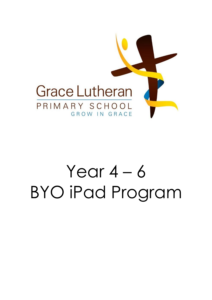

# Year  $4 - 6$ BYO iPad Program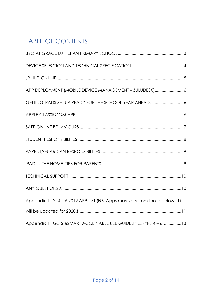## TABLE OF CONTENTS

| Appendix 1: Yr 4 - 6 2019 APP LIST (NB. Apps may vary from those below. List |
|------------------------------------------------------------------------------|
|                                                                              |
| Appendix 1: GLPS eSMART ACCEPTABLE USE GUIDELINES (YRS 4 - 6)13              |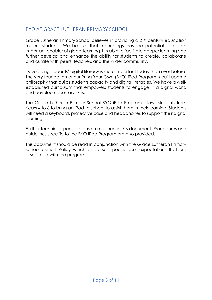## <span id="page-2-0"></span>BYO AT GRACE LUTHERAN PRIMARY SCHOOL

Grace Lutheran Primary School believes in providing a 21st century education for our students. We believe that technology has the potential to be an important enabler of global learning. It is able to facilitate deeper learning and further develop and enhance the ability for students to create, collaborate and curate with peers, teachers and the wider community.

Developing students' digital literacy is more important today than ever before. The very foundation of our Bring Your Own (BYO) iPad Program is built upon a philosophy that builds students capacity and digital literacies. We have a wellestablished curriculum that empowers students to engage in a digital world and develop necessary skills.

The Grace Lutheran Primary School BYO iPad Program allows students from Years 4 to 6 to bring an iPad to school to assist them in their learning. Students will need a keyboard, protective case and headphones to support their digital learning.

Further technical specifications are outlined in this document. Procedures and guidelines specific to the BYO iPad Program are also provided.

This document should be read in conjunction with the Grace Lutheran Primary School eSmart Policy which addresses specific user expectations that are associated with the program.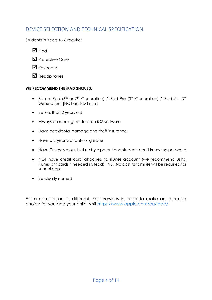## <span id="page-3-0"></span>DEVICE SELECTION AND TECHNICAL SPECIFICATION

Students in Years 4 - 6 require:

- $\overline{M}$  iPad
- $\nabla$  Protective Case
- $\boxtimes$  Keyboard
- $\boxtimes$  Headphones

#### **WE RECOMMEND THE iPAD SHOULD:**

- Be an iPad (6<sup>th</sup> or 7<sup>th</sup> Generation) / iPad Pro (3<sup>rd</sup> Generation) / iPad Air (3<sup>rd</sup> Generation) [NOT an iPad mini]
- Be less than 2 years old
- Always be running up- to date iOS software
- Have accidental damage and theft insurance
- Have a 2-year warranty or greater
- Have iTunes account set up by a parent and students don't know the password
- NOT have credit card attached to iTunes account (we recommend using iTunes gift cards if needed instead). NB. No cost to families will be required for school apps.
- Be clearly named

For a comparison of different iPad versions in order to make an informed choice for you and your child, visit [https://www.apple.com/au/ipad/.](https://www.apple.com/au/ipad/)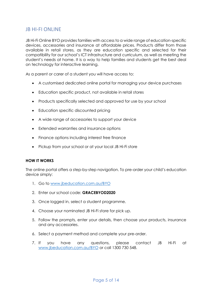#### <span id="page-4-0"></span>JB HI-FI ONLINE

JB Hi-Fi Online BYO provides families with access to a wide range of education-specific devices, accessories and insurance at affordable prices. Products differ from those available in retail stores, as they are education specific and selected for their compatibility for our school's ICT infrastructure and curriculum, as well as meeting the student's needs at home. It is a way to help families and students get the best deal on technology for interactive learning.

As a parent or carer of a student you will have access to:

- A customised dedicated online portal for managing your device purchases
- Education specific product, not available in retail stores
- Products specifically selected and approved for use by your school
- Education specific discounted pricing
- A wide range of accessories to support your device
- Extended warranties and insurance options
- Finance options including interest free finance
- Pickup from your school or at your local JB Hi-Fi store

#### **HOW IT WORKS**

The online portal offers a step-by-step navigation. To pre-order your child's education device simply:

- 1. Go to [www.jbeducation.com.au/BYO](http://www.jbeducation.com.au/byod)
- 2. Enter our school code: **GRACEBYOD2020**
- 3. Once logged in, select a student programme.
- 4. Choose your nominated JB Hi-Fi store for pick up.
- 5. Follow the prompts, enter your details, then choose your products, insurance and any accessories.
- 6. Select a payment method and complete your pre-order.
- 7. If you have any questions, please contact JB Hi-Fi at [www.jbeducation.com.au/BYO](http://www.jbeducation.com.au/byod) or call 1300 730 548.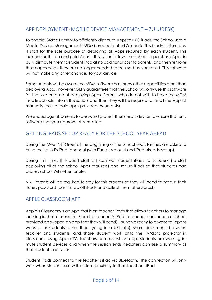## <span id="page-5-0"></span>APP DEPLOYMENT (MOBILE DEVICE MANAGEMENT – ZULUDESK)

To enable Grace Primary to efficiently distribute Apps to BYO iPads, the School uses a Mobile Device Management (MDM) product called Zuludesk. This is administered by IT staff for the sole purpose of deploying all Apps required by each student. This includes both free and paid Apps – this system allows the school to purchase Apps in bulk, distribute them to student iPad at no additional cost to parents, and then remove those apps when they are no longer needed to be used by your child. This software will not make any other changes to your device.

Some parents will be aware the MDM software has many other capabilities other than deploying Apps, however GLPS guarantees that the School will only use this software for the sole purpose of deploying Apps. Parents who do not wish to have the MDM installed should inform the school and then they will be required to install the App list manually (cost of paid apps provided by parents).

We encourage all parents to password protect their child's device to ensure that only software that you approve of is installed.

### <span id="page-5-1"></span>GETTING iPADS SET UP READY FOR THE SCHOOL YEAR AHEAD

During the Meet 'N' Greet at the beginning of the school year, families are asked to bring their child's iPad to school (with iTunes account and iPad already set up).

During this time, IT support staff will connect student iPads to Zuludesk (to start deploying all of the school Apps required) and set up iPads so that students can access school WiFi when onsite.

NB. Parents will be required to stay for this process as they will need to type in their iTunes password (can't drop off iPads and collect them afterwards).

#### <span id="page-5-2"></span>APPLE CLASSROOM APP

Apple's Classroom is an App that is on teacher iPads that allows teachers to manage learning in their classroom. From the teacher's iPad, a teacher can launch a school provided app (open an app that they will need), launch directly to a website (opens website for students rather than typing in a URL etc), share documents between teacher and students, and share student work onto the TV/data projector in classrooms using Apple TV. Teachers can see which apps students are working in, mute student devices and when the session ends, teachers can see a summary of their student's activities.

Student iPads connect to the teacher's iPad via Bluetooth. The connection will only work when students are within close proximity to their teacher's iPad.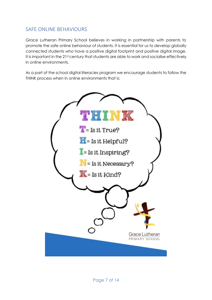### <span id="page-6-0"></span>SAFE ONLINE BEHAVIOURS

Grace Lutheran Primary School believes in working in partnership with parents to promote the safe online behaviour of students. It is essential for us to develop globally connected students who have a positive digital footprint and positive digital image. It is important in the 21st century that students are able to work and socialise effectively in online environments.

As a part of the school digital literacies program we encourage students to follow the THINK process when in online environments that is:

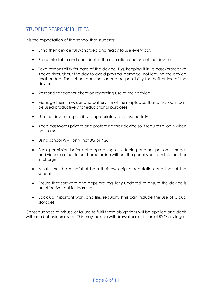## <span id="page-7-0"></span>STUDENT RESPONSIBILITIES

It is the expectation of the school that students:

- Bring their device fully-charged and ready to use every day.
- Be comfortable and confident in the operation and use of the device.
- Take responsibility for care of the device. E.g. keeping it in its case/protective sleeve throughout the day to avoid physical damage, not leaving the device unattended. The school does not accept responsibility for theft or loss of the device.
- Respond to teacher direction regarding use of their device.
- Manage their time, use and battery life of their laptop so that at school it can be used productively for educational purposes.
- Use the device responsibly, appropriately and respectfully.
- Keep passwords private and protecting their device so it requires a login when not in use.
- Using school Wi-Fi only, not 3G or 4G.
- Seek permission before photographing or videoing another person. Images and videos are not to be shared online without the permission from the teacher in charge.
- At all times be mindful of both their own digital reputation and that of the school.
- Ensure that software and apps are regularly updated to ensure the device is an effective tool for learning.
- Back up important work and files regularly (this can include the use of Cloud storage).

Consequences of misuse or failure to fulfil these obligations will be applied and dealt with as a behavioural issue. This may include withdrawal or restriction of BYO privileges.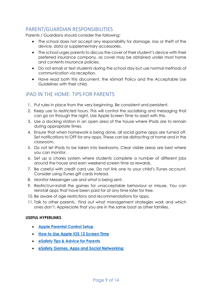## <span id="page-8-0"></span>PARENT/GUARDIAN RESPONSIBILITIES

Parents / Guardians should consider the following:

- The school does not accept any responsibility for damage, loss or theft of the device, data or supplementary accessories.
- The school urges parents to discuss the cover of their student's device with their preferred insurance company, as cover may be obtained under most home and contents insurance policies.
- Do not email or text students during the school day but use normal methods of communication via reception.
- Have read both this document, the eSmart Policy and the Acceptable Use Guidelines with their child.

### <span id="page-8-1"></span>iPAD IN THE HOME: TIPS FOR PARENTS

- 1. Put rules in place from the very beginning. Be consistent and persistent.
- 2. Keep use to restricted hours. This will control the socialising and messaging that can go on through the night. Use Apple Screen Time to assist with this.
- 3. Use a docking station in an open area of the house where iPads are to remain during appropriate times.
- 4. Ensure that when homework is being done, all social game apps are turned off. Set notifications to OFF for any apps. These can be distracting at home and in the classroom.
- 5. Do not let iPads to be taken into bedrooms. Clear visible areas are best where you can monitor.
- 6. Set up a chores system where students complete a number of different jobs around the house and earn weekend screen time as rewards.
- 7. Be careful with credit card use. Do not link one to your child's iTunes account. Consider using iTunes gift cards instead.
- 8. Monitor Messenger use and what is being sent.
- 9. Restrict/un-install the games for unacceptable behaviour or misuse. You can reinstall apps that have been paid for at any time later for free.
- 10. Be aware of age restrictions and recommendations for apps.
- 11. Talk to other parents. Find out what management strategies work and which ones don't. Appreciate that you are in the same boat as other families.

#### **USEFUL HYPERLINKS**

- **[Apple Parental Control Setup](https://support.apple.com/en-au/HT201304)**
- **[How to Use Apple iOS 12 Screen Time](https://www.theverge.com/2018/9/17/17870126/ios-12-screen-time-app-limits-downtime-features-how-to-use)**
- **[eSafety Tips & Advice for Parents](https://www.esafety.gov.au/parents)**
- **[eSafety Games, Apps and Social Networking](https://www.esafety.gov.au/esafety-information/games-apps-and-social-networking)**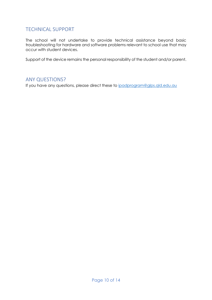## <span id="page-9-0"></span>TECHNICAL SUPPORT

The school will not undertake to provide technical assistance beyond basic troubleshooting for hardware and software problems relevant to school use that may occur with student devices.

Support of the device remains the personal responsibility of the student and/or parent.

#### <span id="page-9-1"></span>ANY QUESTIONS?

If you have any questions, please direct these to [ipadprogram@glps.qld.edu.au](mailto:ipadprogram@glps.qld.edu.au)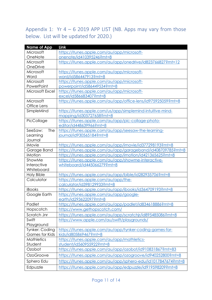## <span id="page-10-0"></span>Appendix 1: Yr  $4 - 6$  2019 APP LIST (NB. Apps may vary from those below. List will be updated for 2020.)

| <b>Name of App</b>    | Link                                                         |
|-----------------------|--------------------------------------------------------------|
| Microsoft             | https://itunes.apple.com/au/app/microsoft-                   |
| OneNote               | onenote/id410395246?mt=8                                     |
| Microsoft             | https://itunes.apple.com/au/app/onedrive/id823766827?mt=12   |
| OneDrive              |                                                              |
| Microsoft             | https://itunes.apple.com/au/app/microsoft-                   |
| Word                  | word/id586447913?mt=8                                        |
| Microsoft             | https://itunes.apple.com/au/app/microsoft-                   |
| PowerPoint            | powerpoint/id586449534?mt=8                                  |
| Microsoft Excel       | https://itunes.apple.com/au/app/microsoft-                   |
|                       | excel/id586683407?mt=8                                       |
| Microsoft             | https://itunes.apple.com/au/app/office-lens/id975925059?mt=8 |
| Office Lens           |                                                              |
| SimpleMind            | https://itunes.apple.com/us/app/simplemind-intuitive-mind-   |
|                       | mapping/id305727658?mt=8                                     |
| PicCollage            | https://itunes.apple.com/au/app/pic-collage-photo-           |
|                       | editor/id448639966?mt=8                                      |
| SeeSaw:<br>The        | https://itunes.apple.com/au/app/seesaw-the-learning-         |
| Learning              | journal/id930565184?mt=8                                     |
| Journal               |                                                              |
| <b>iMovie</b>         | https://itunes.apple.com/au/app/imovie/id377298193?mt=8      |
| Garage Band           | https://itunes.apple.com/au/app/garageband/id408709785?mt=8  |
| <i>iMotion</i>        | https://itunes.apple.com/au/app/imotion/id421365625?mt=8     |
| ShowMe                | https://itunes.apple.com/au/app/showme-interactive-          |
| Interactive           | whiteboard/id445066279?mt=8                                  |
| Whiteboard            |                                                              |
| <b>Holy Bible</b>     | https://itunes.apple.com/au/app/bible/id282935706?mt=8       |
| Calculator            | https://itunes.apple.com/au/app/the-                         |
|                       | calculator/id398129933?mt=8                                  |
| iBooks                | https://itunes.apple.com/au/app/ibooks/id364709193?mt=8      |
| Google Earth          | https://itunes.apple.com/au/app/google-                      |
|                       | earth/id293622097?mt=8                                       |
| Padlet                | https://itunes.apple.com/au/app/padlet/id834618886?mt=8      |
| Hopscotch             | https://www.gethopscotch.com/                                |
| Scratch Jnr           | https://itunes.apple.com/au/app/scratchir/id895485086?mt=8   |
| Swift                 | https://www.apple.com/au/swift/playgrounds/                  |
| Playground            |                                                              |
| Tynker: Coding        | https://itunes.apple.com/au/app/tynker-coding-games-for-     |
| <b>Games for Kids</b> | kids/id805869467?mt=8                                        |
| <b>Mathletics</b>     | https://itunes.apple.com/au/app/mathletics-                  |
| Student               | student/id560955922?mt=8                                     |
| Ozobot                | https://itunes.apple.com/au/app/ozobot/id910831867?mt=83     |
| OzoGroove             | https://itunes.apple.com/au/app/ozogroove/id940252800?mt=8   |
| Sphero Edu            | https://itunes.apple.com/au/app/sphero-edu/id1017847674?mt=8 |
| Edpuzzle              | https://itunes.apple.com/au/app/edpuzzle/id919598209?mt=8    |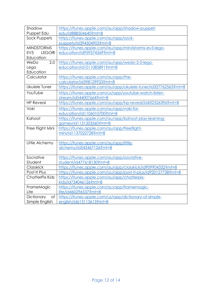| Shadow                 | https://itunes.apple.com/au/app/shadow-puppet-                 |
|------------------------|----------------------------------------------------------------|
| Puppet Edu             | edu/id888504640?mt=8                                           |
| Sock Puppets           | https://itunes.apple.com/au/app/sock-                          |
|                        | puppets/id394504903?mt=8                                       |
| <b>MINDSTORMS</b>      | https://itunes.apple.com/au/app/mindstorms-ev3-lego-           |
| EV3<br><b>LEGO®</b>    | education/id959374369?mt=8                                     |
| Education              |                                                                |
| 2.0<br>WeDo            | https://itunes.apple.com/au/app/wedo-2-0-lego-                 |
| Lego                   | education/id1011085891?mt=8                                    |
| Education              |                                                                |
| Calculator             | https://itunes.apple.com/au/app/the-                           |
|                        | calculator/id398129933?mt=8                                    |
| Ukulele Tuner          | https://itunes.apple.com/au/app/ukulele-tuner/id327762565?mt=8 |
| YouTube                | https://itunes.apple.com/us/app/youtube-watch-listen-          |
|                        | stream/id544007664?mt=8                                        |
| <b>HP Reveal</b>       | https://itunes.apple.com/au/app/hp-reveal/id432526396?mt=8     |
| Voki                   | https://itunes.apple.com/au/app/voki-for-                      |
|                        | education/id1106010700?mt=8                                    |
| Kahoot                 | https://itunes.apple.com/au/app/kahoot-play-learning-          |
|                        | games/id1131203560?mt=8                                        |
| Free Flight Mini       | https://itunes.apple.com/au/app/freeflight-                    |
|                        | mini/id1137022728?mt=8                                         |
|                        |                                                                |
| Little Alchemy         | https://itunes.apple.com/au/app/little-                        |
|                        | alchemy/id542467126?mt=8                                       |
|                        |                                                                |
| Socrative              | https://itunes.apple.com/au/app/socrative-                     |
| Student                | student/id477618130?mt=8                                       |
| Classkick              | https://itunes.apple.com/au/app/classkick/id909904332?mt=8     |
| Post-It Plus           | https://itunes.apple.com/au/app/post-it-plus/id920127738?mt=8  |
| <b>ChatterPix Kids</b> | https://itunes.apple.com/au/app/chatterpix-                    |
|                        | kids/id734046126?mt=8                                          |
| FrameMagic             | https://itunes.apple.com/au/app/framemagic-                    |
| Lite                   | lite/id460296537?mt=8                                          |
| Dictionary<br>of       | https://itunes.apple.com/us/app/dictionary-of-simple-          |
| Simple English         | english/id613113613?mt=8                                       |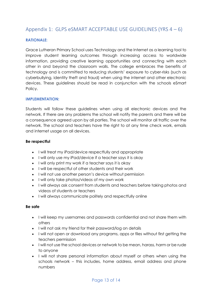## <span id="page-12-0"></span>Appendix 1: GLPS eSMART ACCEPTABLE USE GUIDELINES (YRS  $4-6$ )

#### **RATIONALE:**

Grace Lutheran Primary School uses Technology and the Internet as a learning tool to improve student learning outcomes through increasing access to worldwide information, providing creative learning opportunities and connecting with each other in and beyond the classroom walls. The college embraces the benefits of technology and is committed to reducing students' exposure to cyber-risks (such as cyberbullying, identity theft and fraud) when using the internet and other electronic devices. These guidelines should be read in conjunction with the schools eSmart Policy.

#### **IMPLEMENTATION:**

Students will follow these guidelines when using all electronic devices and the network. If there are any problems the school will notify the parents and there will be a consequence agreed upon by all parties. The school will monitor all traffic over the network. The school and teachers have the right to at any time check work, emails and internet usage on all devices.

#### **Be respectful**

- I will treat my iPad/device respectfully and appropriate
- I will only use my iPad/device if a teacher says it is okay
- I will only print my work if a teacher says it is okay
- I will be respectful of other students and their work
- I will not use another person's device without permission
- I will only take photos/videos of my own work
- I will always ask consent from students and teachers before taking photos and videos of students or teachers
- I will always communicate politely and respectfully online

#### **Be safe**

- I will keep my usernames and passwords confidential and not share them with others
- I will not ask my friend for their password/log on details
- I will not open or download any programs, apps or files without first getting the teachers permission
- I will not use the school devices or network to be mean, harass, harm or be rude to anyone
- I will not share personal information about myself or others when using the schools network – this includes, home address, email address and phone numbers